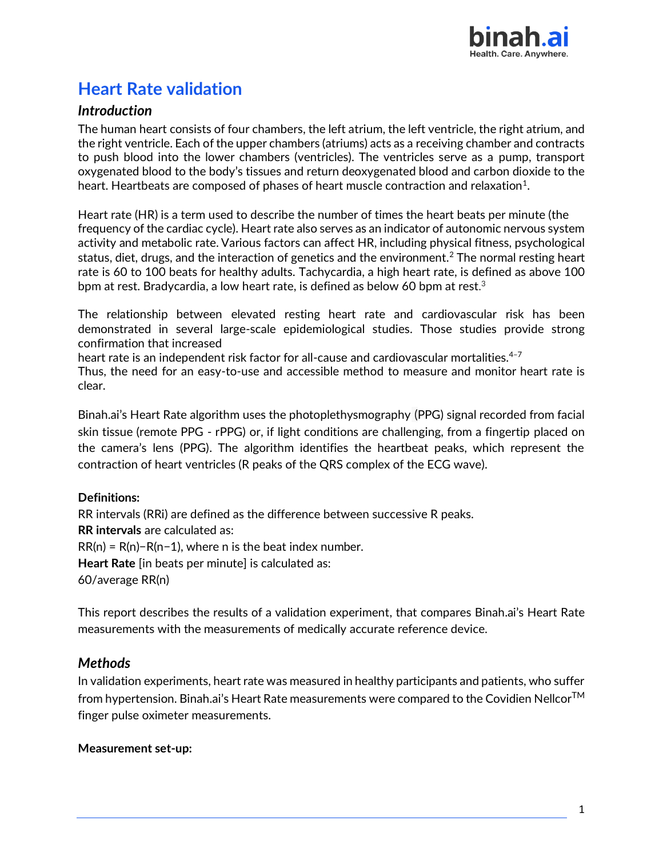

# **Heart Rate validation**

## *Introduction*

The human heart consists of four chambers, the left atrium, the left ventricle, the right atrium, and the right ventricle. Each of the upper chambers (atriums) acts as a receiving chamber and contracts to push blood into the lower chambers (ventricles). The ventricles serve as a pump, transport oxygenated blood to the body's tissues and return deoxygenated blood and carbon dioxide to the heart. Heartbeats are composed of phases of heart muscle contraction and relaxation $^1$ .

Heart rate (HR) is a term used to describe the number of times the heart beats per minute (the frequency of the cardiac cycle). Heart rate also serves as an indicator of autonomic nervous system activity and metabolic rate. Various factors can affect HR, including physical fitness, psychological status, diet, drugs, and the interaction of genetics and the environment.<sup>2</sup> The normal resting heart rate is 60 to 100 beats for healthy adults. [Tachycardia,](https://en.wikipedia.org/wiki/Tachycardia) a high heart rate, is defined as above 100 bpm at rest. [Bradycardia,](https://en.wikipedia.org/wiki/Bradycardia) a low heart rate, is defined as below 60 bpm at rest. $^3$ 

The relationship between elevated resting heart rate and cardiovascular risk has been demonstrated in several large-scale epidemiological studies. Those studies provide strong confirmation that increased

heart rate is an independent risk factor for all-cause and cardiovascular mortalities.<sup>4-7</sup>

Thus, the need for an easy-to-use and accessible method to measure and monitor heart rate is clear.

Binah.ai's Heart Rate algorithm uses the photoplethysmography (PPG) signal recorded from facial skin tissue (remote PPG - rPPG) or, if light conditions are challenging, from a fingertip placed on the camera's lens (PPG). The algorithm identifies the heartbeat peaks, which represent the contraction of heart ventricles (R peaks of the QRS complex of the ECG wave).

#### **Definitions:**

RR intervals (RRi) are defined as the difference between successive R peaks. **RR intervals** are calculated as:  $RR(n) = R(n)-R(n-1)$ , where n is the beat index number. **Heart Rate** [in beats per minute] is calculated as: 60/average RR(n)

This report describes the results of a validation experiment, that compares Binah.ai's Heart Rate measurements with the measurements of medically accurate reference device.

## *Methods*

In validation experiments, heart rate was measured in healthy participants and patients, who suffer from hypertension. Binah.ai's Heart Rate measurements were compared to the Covidien NellcorTM finger pulse oximeter measurements.

#### **Measurement set-up:**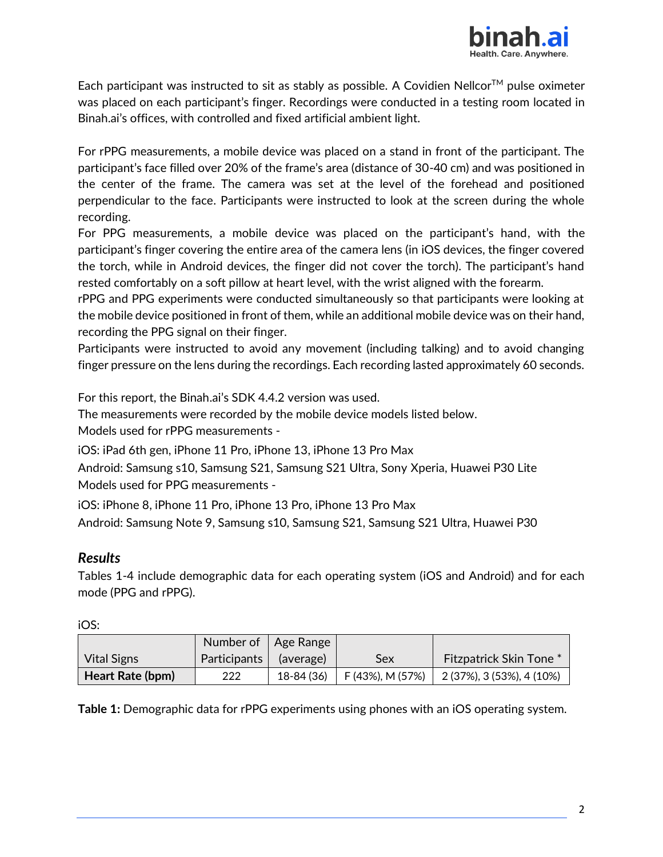

Each participant was instructed to sit as stably as possible. A Covidien Nellcor<sup>TM</sup> pulse oximeter was placed on each participant's finger. Recordings were conducted in a testing room located in Binah.ai's offices, with controlled and fixed artificial ambient light.

For rPPG measurements, a mobile device was placed on a stand in front of the participant. The participant's face filled over 20% of the frame's area (distance of 30-40 cm) and was positioned in the center of the frame. The camera was set at the level of the forehead and positioned perpendicular to the face. Participants were instructed to look at the screen during the whole recording.

For PPG measurements, a mobile device was placed on the participant's hand, with the participant's finger covering the entire area of the camera lens (in iOS devices, the finger covered the torch, while in Android devices, the finger did not cover the torch). The participant's hand rested comfortably on a soft pillow at heart level, with the wrist aligned with the forearm.

rPPG and PPG experiments were conducted simultaneously so that participants were looking at the mobile device positioned in front of them, while an additional mobile device was on their hand, recording the PPG signal on their finger.

Participants were instructed to avoid any movement (including talking) and to avoid changing finger pressure on the lens during the recordings. Each recording lasted approximately 60 seconds.

For this report, the Binah.ai's SDK 4.4.2 version was used.

The measurements were recorded by the mobile device models listed below.

Models used for rPPG measurements -

iOS: iPad 6th gen, iPhone 11 Pro, iPhone 13, iPhone 13 Pro Max

Android: Samsung s10, Samsung S21, Samsung S21 Ultra, Sony Xperia, Huawei P30 Lite Models used for PPG measurements -

iOS: iPhone 8, iPhone 11 Pro, iPhone 13 Pro, iPhone 13 Pro Max Android: Samsung Note 9, Samsung s10, Samsung S21, Samsung S21 Ultra, Huawei P30

## *Results*

Tables 1-4 include demographic data for each operating system (iOS and Android) and for each mode (PPG and rPPG).

iOS:

|                    |              | Number of   Age Range |                  |                               |
|--------------------|--------------|-----------------------|------------------|-------------------------------|
| <b>Vital Signs</b> | Participants | (average)             | Sex              | <b>Fitzpatrick Skin Tone*</b> |
| Heart Rate (bpm)   | 222          | 18-84 (36)            | F (43%), M (57%) | 2 (37%), 3 (53%), 4 (10%)     |

**Table 1:** Demographic data for rPPG experiments using phones with an iOS operating system.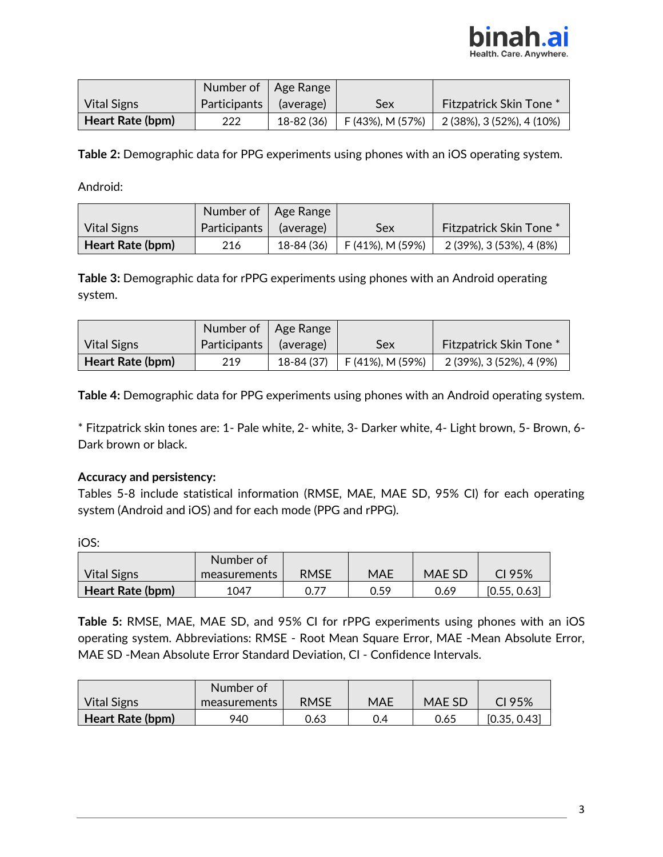

|                    |              | Number of   Age Range |                              |                                |
|--------------------|--------------|-----------------------|------------------------------|--------------------------------|
| <b>Vital Signs</b> | Participants | (average)             | Sex                          | <b>Fitzpatrick Skin Tone *</b> |
| Heart Rate (bpm)   | 222          | 18-82 (36)            | $\mathsf{F}(43\%)$ , M (57%) | $2(38\%), 3(52\%), 4(10\%)$    |

**Table 2:** Demographic data for PPG experiments using phones with an iOS operating system.

Android:

|                    |              | Number of   Age Range |                         |                                |
|--------------------|--------------|-----------------------|-------------------------|--------------------------------|
| <b>Vital Signs</b> | Participants | (average)             | Sex                     | <b>Fitzpatrick Skin Tone *</b> |
| Heart Rate (bpm)   | 216          | 18-84 (36)            | $\mid$ F (41%), M (59%) | 2 (39%), 3 (53%), 4 (8%)       |

**Table 3:** Demographic data for rPPG experiments using phones with an Android operating system.

|                    |              | Number of   Age Range |                          |                                |
|--------------------|--------------|-----------------------|--------------------------|--------------------------------|
| <b>Vital Signs</b> | Participants | (average)             | Sex                      | <b>Fitzpatrick Skin Tone *</b> |
| Heart Rate (bpm)   | 219          | 18-84 (37)            | $\vert$ F (41%), M (59%) | 2 (39%), 3 (52%), 4 (9%)       |

**Table 4:** Demographic data for PPG experiments using phones with an Android operating system.

\* Fitzpatrick skin tones are: 1- Pale white, 2- white, 3- Darker white, 4- Light brown, 5- Brown, 6- Dark brown or black.

#### **Accuracy and persistency:**

Tables 5-8 include statistical information (RMSE, MAE, MAE SD, 95% CI) for each operating system (Android and iOS) and for each mode (PPG and rPPG).

iOS:

|                    | Number of    |      |            |        |              |
|--------------------|--------------|------|------------|--------|--------------|
| <b>Vital Signs</b> | measurements | RMSE | <b>MAE</b> | MAE SD | CI 95%       |
| Heart Rate (bpm)   | 1047         | 0.77 | 0.59       | 0.69   | [0.55, 0.63] |

**Table 5:** RMSE, MAE, MAE SD, and 95% CI for rPPG experiments using phones with an iOS operating system. Abbreviations: RMSE - Root Mean Square Error, MAE -Mean Absolute Error, MAE SD -Mean Absolute Error Standard Deviation, CI - Confidence Intervals.

|                    | Number of    |             |     |               |              |
|--------------------|--------------|-------------|-----|---------------|--------------|
| <b>Vital Signs</b> | measurements | <b>RMSE</b> | MAE | <b>MAE SD</b> | CI 95%       |
| Heart Rate (bpm)   | 940          | 0.63        | 0.4 | 0.65          | [0.35, 0.43] |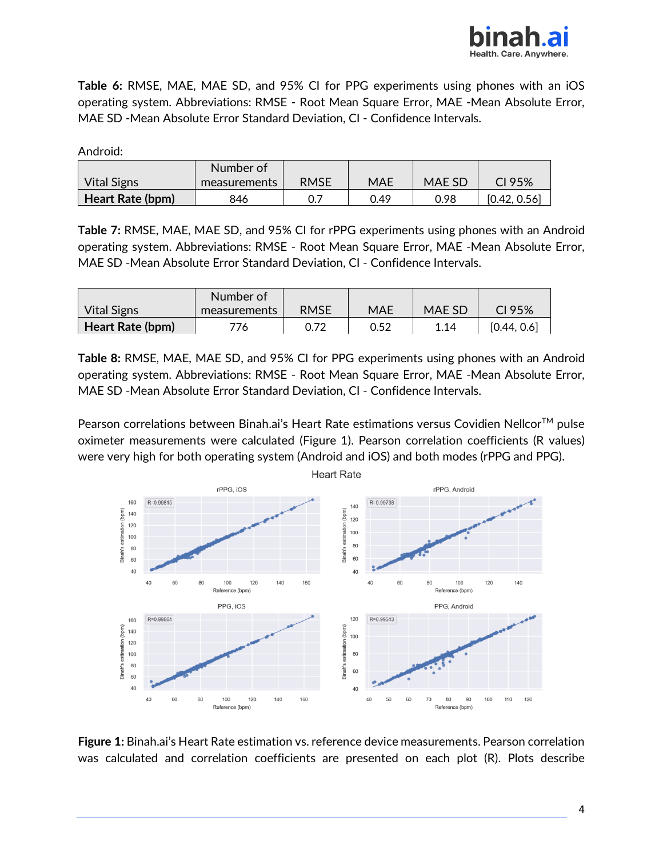

**Table 6:** RMSE, MAE, MAE SD, and 95% CI for PPG experiments using phones with an iOS operating system. Abbreviations: RMSE - Root Mean Square Error, MAE -Mean Absolute Error, MAE SD -Mean Absolute Error Standard Deviation, CI - Confidence Intervals.

Android:

|                         | Number of    |      |            |        |              |
|-------------------------|--------------|------|------------|--------|--------------|
| <b>Vital Signs</b>      | measurements | RMSE | <b>MAE</b> | MAE SD | CI 95 $%$    |
| <b>Heart Rate (bpm)</b> | 846          |      | 0.49       | 0.98   | [0.42, 0.56] |

**Table 7:** RMSE, MAE, MAE SD, and 95% CI for rPPG experiments using phones with an Android operating system. Abbreviations: RMSE - Root Mean Square Error, MAE -Mean Absolute Error, MAE SD -Mean Absolute Error Standard Deviation, CI - Confidence Intervals.

|                    | Number of    |      |      |        |             |
|--------------------|--------------|------|------|--------|-------------|
| <b>Vital Signs</b> | measurements | RMSE | MAE  | MAE SD | CI 95%      |
| Heart Rate (bpm)   | 776.         | 0.72 | 0.52 | 1.14   | [0.44, 0.6] |

**Table 8:** RMSE, MAE, MAE SD, and 95% CI for PPG experiments using phones with an Android operating system. Abbreviations: RMSE - Root Mean Square Error, MAE -Mean Absolute Error, MAE SD -Mean Absolute Error Standard Deviation, CI - Confidence Intervals.

Pearson correlations between Binah.ai's Heart Rate estimations versus Covidien Nellcor<sup>™</sup> pulse oximeter measurements were calculated (Figure 1). Pearson correlation coefficients (R values) were very high for both operating system (Android and iOS) and both modes (rPPG and PPG).



**Figure 1:** Binah.ai's Heart Rate estimation vs. reference device measurements. Pearson correlation was calculated and correlation coefficients are presented on each plot (R). Plots describe